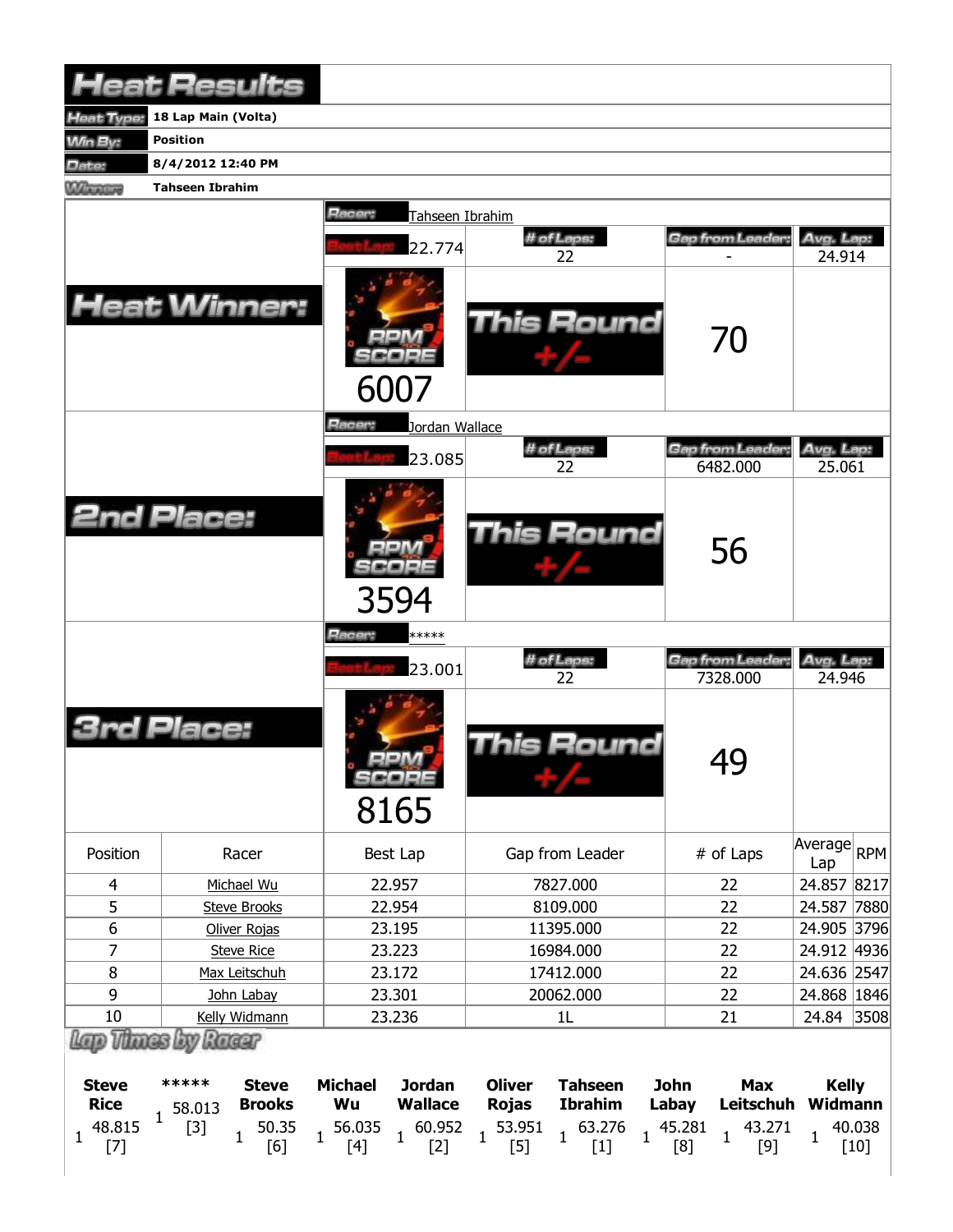|                                             | <b>Heat Results</b>                              |                                                                    |                                                                                    |                                                 |                              |  |  |  |  |  |  |  |  |
|---------------------------------------------|--------------------------------------------------|--------------------------------------------------------------------|------------------------------------------------------------------------------------|-------------------------------------------------|------------------------------|--|--|--|--|--|--|--|--|
| <b>Heat Type:</b>                           | 18 Lap Main (Volta)                              |                                                                    |                                                                                    |                                                 |                              |  |  |  |  |  |  |  |  |
| <b>Min By:</b>                              | <b>Position</b>                                  |                                                                    |                                                                                    |                                                 |                              |  |  |  |  |  |  |  |  |
| Date:                                       | 8/4/2012 12:40 PM                                |                                                                    |                                                                                    |                                                 |                              |  |  |  |  |  |  |  |  |
| Winners                                     | <b>Tahseen Ibrahim</b>                           |                                                                    |                                                                                    |                                                 |                              |  |  |  |  |  |  |  |  |
|                                             | Racer:<br>Tahseen Ibrahim                        |                                                                    |                                                                                    |                                                 |                              |  |  |  |  |  |  |  |  |
|                                             |                                                  | 22.774                                                             | # of Laps:                                                                         | Gap from Leader:                                | Avg. Lap:                    |  |  |  |  |  |  |  |  |
|                                             |                                                  |                                                                    | 22                                                                                 |                                                 | 24.914                       |  |  |  |  |  |  |  |  |
|                                             | <b>Heat Winner:</b>                              | 6007                                                               | This Round                                                                         | 70                                              |                              |  |  |  |  |  |  |  |  |
|                                             |                                                  | Racer:<br>Jordan Wallace                                           |                                                                                    |                                                 |                              |  |  |  |  |  |  |  |  |
|                                             |                                                  | 23.085                                                             | # of Laps:<br>22                                                                   | Gap from Leader:<br>6482.000                    | Avg. Lap:<br>25.061          |  |  |  |  |  |  |  |  |
|                                             | <b>2nd Place:</b>                                | 3594                                                               | This Round                                                                         | 56                                              |                              |  |  |  |  |  |  |  |  |
|                                             |                                                  | Racer:<br>*****                                                    |                                                                                    |                                                 |                              |  |  |  |  |  |  |  |  |
|                                             |                                                  | 23.001                                                             | # of Laps:<br>22                                                                   | Gap from Leader:<br>7328.000                    | Avg. Lap:<br>24.946          |  |  |  |  |  |  |  |  |
|                                             | Place:                                           | SCORE<br>8165                                                      | <b>This Round</b>                                                                  | 49                                              |                              |  |  |  |  |  |  |  |  |
| Position                                    | Racer                                            | Best Lap                                                           | Gap from Leader                                                                    | # of Laps                                       | Average<br><b>RPM</b><br>Lap |  |  |  |  |  |  |  |  |
| $\overline{4}$                              | Michael Wu                                       | 22.957                                                             | 7827.000                                                                           | 22                                              | 24.857 8217                  |  |  |  |  |  |  |  |  |
| 5                                           | <b>Steve Brooks</b>                              | 22.954                                                             | 8109.000                                                                           | 22                                              | 24.587 7880                  |  |  |  |  |  |  |  |  |
| $\boldsymbol{6}$                            | Oliver Rojas                                     | 23.195                                                             | 11395.000                                                                          | 22                                              | 24.905 3796                  |  |  |  |  |  |  |  |  |
| $\overline{7}$                              | <b>Steve Rice</b>                                | 23.223                                                             | 16984.000                                                                          | 22                                              | 24.912 4936                  |  |  |  |  |  |  |  |  |
| 8                                           | Max Leitschuh                                    | 23.172                                                             | 17412.000                                                                          | 22                                              | 24.636 2547                  |  |  |  |  |  |  |  |  |
| 9<br>10                                     | John Labay<br>Kelly Widmann                      | 23.301<br>23.236                                                   | 20062.000<br>1L                                                                    | 22<br>21                                        | 24.868   1846<br>24.84 3508  |  |  |  |  |  |  |  |  |
| <b>D</b> Thues                              | by Racer                                         |                                                                    |                                                                                    |                                                 |                              |  |  |  |  |  |  |  |  |
| <b>Steve</b><br><b>Rice</b><br>$\mathbf{1}$ | *****<br><b>Steve</b><br><b>Brooks</b><br>58.013 | <b>Michael</b><br><b>Jordan</b><br><b>Wallace</b><br>Wu            | <b>Oliver</b><br><b>Tahseen</b><br><b>Ibrahim</b><br><b>Rojas</b>                  | <b>John</b><br><b>Max</b><br>Leitschuh<br>Labay | <b>Kelly</b><br>Widmann      |  |  |  |  |  |  |  |  |
| 48.815<br>$\mathbf{1}$<br>$[7]$             | 50.35<br>$[3]$<br>$\mathbf{1}$<br>[6]            | 56.035<br>60.952<br>$\mathbf{1}$<br>$\mathbf{1}$<br>$[4]$<br>$[2]$ | 53.951<br>63.276<br>$\mathbf{1}$<br>$\mathbf{1}$<br>$\mathbf{1}$<br>$[5]$<br>$[1]$ | 45.281<br>43.271<br>1<br>$[9]$<br>[8]           | 40.038<br>1<br>$[10]$        |  |  |  |  |  |  |  |  |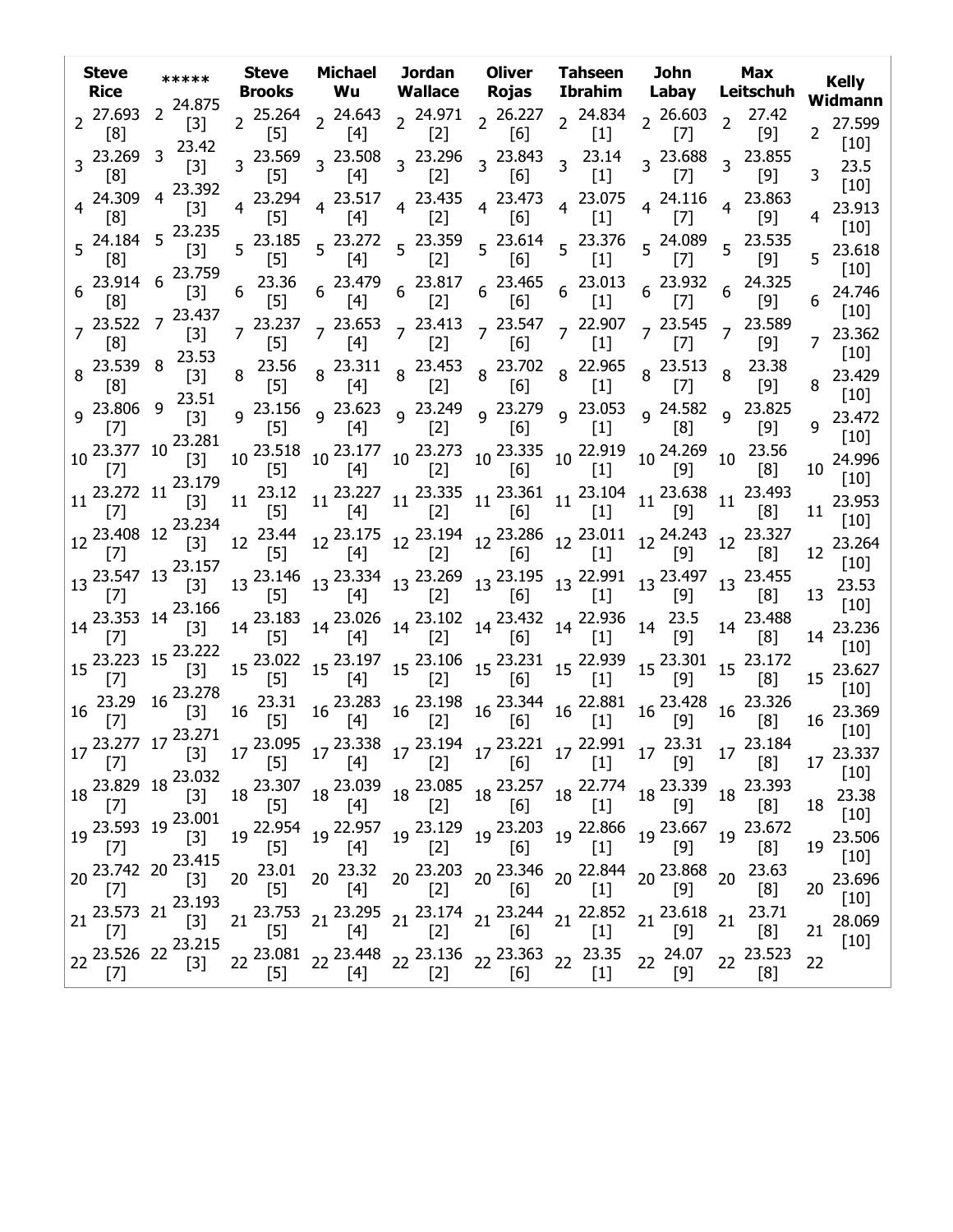| <b>Steve</b><br><b>Rice</b>                                                                                                                                                                                                                                                                                                                                                                                                                                                                            | *****                                                                                              | <b>Steve</b>                                                                     |                 | Brooks Wu                   |                                                          | Michael Jordan Oliver Tahseen<br>Wallace Rojas                                                                                                                                                                                                                                                                | Ibrahim                                                                                                          | John<br>Labay                  | <b>Max</b><br>Leitschuh                                                                                                                                                                                                                                                                                                                                                                                                               | <b>Kelly</b><br>Widmann                         |
|--------------------------------------------------------------------------------------------------------------------------------------------------------------------------------------------------------------------------------------------------------------------------------------------------------------------------------------------------------------------------------------------------------------------------------------------------------------------------------------------------------|----------------------------------------------------------------------------------------------------|----------------------------------------------------------------------------------|-----------------|-----------------------------|----------------------------------------------------------|---------------------------------------------------------------------------------------------------------------------------------------------------------------------------------------------------------------------------------------------------------------------------------------------------------------|------------------------------------------------------------------------------------------------------------------|--------------------------------|---------------------------------------------------------------------------------------------------------------------------------------------------------------------------------------------------------------------------------------------------------------------------------------------------------------------------------------------------------------------------------------------------------------------------------------|-------------------------------------------------|
| $2^{27.693}$<br>[8]                                                                                                                                                                                                                                                                                                                                                                                                                                                                                    | 2 24.875<br>$[3]$                                                                                  | $2^{25.264}$                                                                     | [5]             | [4]                         | [2]                                                      | 2 24.643 2 24.971 2 26.227 2 24.834 2 26.603 2 27.42<br>[6]                                                                                                                                                                                                                                                   | $[1]$                                                                                                            | $[7]$                          | [9]                                                                                                                                                                                                                                                                                                                                                                                                                                   | 27.599<br>$\overline{2}$<br>$[10]$              |
| 3 23.269<br>[8]                                                                                                                                                                                                                                                                                                                                                                                                                                                                                        | 23.42<br>3<br>$[3]$                                                                                | $3^{23.569}$                                                                     | $[5]$           | 3 23.508<br>[4]             | 3 23.296<br>[2]                                          | 3 23.843<br>[6]                                                                                                                                                                                                                                                                                               | $3^{23.14}$<br>$[1]$                                                                                             | 3 23.688<br>$[7]$              | 3 23.855<br>$[9]$                                                                                                                                                                                                                                                                                                                                                                                                                     | 23.5<br>$\overline{3}$<br>$[10]$                |
| 4 24.309<br>[8]                                                                                                                                                                                                                                                                                                                                                                                                                                                                                        | 4 23.392<br>$[3]$                                                                                  | $\overline{4}$                                                                   | 23.294<br>$[5]$ | $4^{23.517}$<br>[4]         | 4 23.435<br>[2]                                          | [6]                                                                                                                                                                                                                                                                                                           | $4\begin{array}{cc} 23.473 \\ 53.67 \end{array}$ 4 23.075<br>$[1]$                                               | $4^{24.116}$<br>$[7]$          | 4 23.863<br>$[9]$                                                                                                                                                                                                                                                                                                                                                                                                                     | 23.913                                          |
| 5 24.184<br>[8]                                                                                                                                                                                                                                                                                                                                                                                                                                                                                        | $5^{23.235}$<br>$[3]$                                                                              | $5^{23.185}$                                                                     | $[5]$           | [4]                         | $5\begin{array}{cc} 23.272 & 5\end{array}$ 23.359<br>[2] | [6]                                                                                                                                                                                                                                                                                                           | $5\begin{array}{cc} 23.614 & 5 & 23.376 & 5 & 24.089 \\ 5 & 5 & 5 & 51 & 5 & 57 \end{array}$<br>$\left[1\right]$ | $[7]$                          | $5^{23.535}$<br>$\lceil 9 \rceil$                                                                                                                                                                                                                                                                                                                                                                                                     | $[10]$<br>23.618<br>5                           |
| $6^{23.914}$ 6<br>[8]                                                                                                                                                                                                                                                                                                                                                                                                                                                                                  | 23.759<br>$[3]$                                                                                    | 6                                                                                | [5]             | $23.36$ $6$ $23.479$<br>[4] |                                                          |                                                                                                                                                                                                                                                                                                               |                                                                                                                  |                                |                                                                                                                                                                                                                                                                                                                                                                                                                                       | $\lceil 10 \rceil$<br>24.746<br>6               |
| [8]                                                                                                                                                                                                                                                                                                                                                                                                                                                                                                    | $7^{23.522}$ 7 $^{23.437}$<br>$[3]$                                                                | $7^{23.237}$                                                                     | $[5]$           | [4]                         | $\lceil 2 \rceil$                                        | $7\ 23.653\ 7\ 23.413\ 7\ 23.547\ 7\ 22.907$<br>[6]                                                                                                                                                                                                                                                           | $[1]$                                                                                                            | $7^{23.545}$<br>$[7]$          | 7 23.589<br>$[9]$                                                                                                                                                                                                                                                                                                                                                                                                                     | $\lceil 10 \rceil$<br>7 23.362                  |
| 8 23.539 8<br>[8]                                                                                                                                                                                                                                                                                                                                                                                                                                                                                      | 23.53<br>$[3]$                                                                                     | $8^{23.56}$                                                                      | [5]             |                             |                                                          | 8 23.311 8 23.453 8 23.702 8 22.965<br>[4] 8 [2] 8 [6] 8 [1]                                                                                                                                                                                                                                                  |                                                                                                                  | $8\frac{23.513}{100}$<br>$[7]$ | 23.38<br>8<br>$[9]$                                                                                                                                                                                                                                                                                                                                                                                                                   | $[10]$<br>23.429<br>8                           |
| 9 23.806 9<br>$[7]$                                                                                                                                                                                                                                                                                                                                                                                                                                                                                    | 23.51<br>$[3]$                                                                                     |                                                                                  | $[5]$           |                             | $[2]$                                                    | 9 23.156 9 23.623 9 23.249 9 23.279 9 23.053 9 24.582<br>[6]                                                                                                                                                                                                                                                  | $[1]$                                                                                                            | [8]                            | 9 23.825<br>[9]                                                                                                                                                                                                                                                                                                                                                                                                                       | $[10]$<br>23.472<br>9                           |
|                                                                                                                                                                                                                                                                                                                                                                                                                                                                                                        | 10 23.377 10 23.281<br>$[3]$                                                                       | $10^{23.518}$                                                                    | $[5]$           |                             |                                                          | $10\begin{array}{l} 23.177\\ \text{[4]} \end{array} \text{ } 10\begin{array}{l} 23.273\\ \text{[2]} \end{array} \text{ } 10\begin{array}{l} 23.335\\ \text{[6]} \end{array} \text{ } 10\begin{array}{l} 22.919\\ \text{[1]} \end{array} \text{ } 10\begin{array}{l} 24.269\\ \text{[9]} \end{array}$          |                                                                                                                  |                                | $10^{23.56}$<br>[8]                                                                                                                                                                                                                                                                                                                                                                                                                   | $\lceil 10 \rceil$<br>24.996<br>10 <sup>°</sup> |
|                                                                                                                                                                                                                                                                                                                                                                                                                                                                                                        | $11^{23.272}$ $11^{23.179}$                                                                        |                                                                                  |                 |                             |                                                          |                                                                                                                                                                                                                                                                                                               |                                                                                                                  |                                | $11\quad \  \begin{array}{ccc} 23.12\\ [5] \end{array} \quad 11\quad \  \begin{array}{ccc} 23.227\\ [4] \end{array} \quad 11\quad \  \begin{array}{ccc} 23.335\\ [2] \end{array} \quad 11\quad \  \begin{array}{ccc} 23.361\\ [6] \end{array} \quad 11\quad \  \begin{array}{ccc} 23.104\\ [1] \end{array} \quad 11\quad \  \begin{array}{ccc} 23.638\\ [9] \end{array} \quad 11\quad \  \begin{array}{ccc} 23.493\\ [8] \end{array}$ | [10]<br>$11^{23.953}$<br>$\lceil 10 \rceil$     |
| $[7]$                                                                                                                                                                                                                                                                                                                                                                                                                                                                                                  | $12\frac{23.408}{25.234}$<br>$[3]$                                                                 |                                                                                  | $[5]$           |                             |                                                          | $12 \begin{array}{c c c c c c c} 23.44 & 12 & 23.175 & 12 & 23.194 & 12 & 23.286 & 12 & 23.011 & 12 & 24.243 \\ \hline [5] & 12 & [4] & [2] & 12 & [6] & 12 & [1] & 12 & [9] & \end{array}$                                                                                                                   |                                                                                                                  |                                | 12 23.327<br>[8]                                                                                                                                                                                                                                                                                                                                                                                                                      | 12 23.264<br>$\lceil 10 \rceil$                 |
| $[7]$                                                                                                                                                                                                                                                                                                                                                                                                                                                                                                  | $13\frac{23.547}{171}$ 13 $23.157$<br>13 $[3]$                                                     |                                                                                  |                 |                             |                                                          | $13\begin{array}{l} 23.146 \\ [5] \end{array} \quad 13\begin{array}{l} 23.334 \\ [4] \end{array} \quad 13\begin{array}{l} 23.269 \\ [2] \end{array} \quad 13\begin{array}{l} 23.195 \\ [6] \end{array} \quad 13\begin{array}{l} 22.991 \\ [1] \end{array} \quad 13\begin{array}{l} 23.497 \\ [9] \end{array}$ |                                                                                                                  |                                | 13 23.455<br>[8]                                                                                                                                                                                                                                                                                                                                                                                                                      | 23.53<br>13<br>$\lceil 10 \rceil$               |
|                                                                                                                                                                                                                                                                                                                                                                                                                                                                                                        | $14\frac{23.353}{11}$ 14 $\frac{23.166}{11}$<br>$[3]$                                              |                                                                                  |                 |                             |                                                          | 14 <sup>23.183</sup> 14 <sup>23.026</sup> 14 <sup>23.102</sup> 14 <sup>23.432</sup> 14 <sup>22.936</sup> 14 <sup>23.5</sup><br>[5]  14   [4]  [2]  14   [6]  14  [1]  14  [9]                                                                                                                                 |                                                                                                                  |                                | 14 23.488<br>[8]                                                                                                                                                                                                                                                                                                                                                                                                                      | 23.236<br>14<br>$\lceil 10 \rceil$              |
|                                                                                                                                                                                                                                                                                                                                                                                                                                                                                                        |                                                                                                    |                                                                                  |                 |                             |                                                          | $\begin{bmatrix} 2 & 15 & 23.022 & 15 & 23.197 & 15 & 23.106 & 15 & 23.231 & 15 & 22.939 & 15 & 23.301 \ 2 & 2 & 2 & 2 & 2 & 6 \end{bmatrix}$                                                                                                                                                                 |                                                                                                                  |                                | 15 23.172<br>[8]                                                                                                                                                                                                                                                                                                                                                                                                                      | $15^{23.627}$<br>$\lceil 10 \rceil$             |
| [7]                                                                                                                                                                                                                                                                                                                                                                                                                                                                                                    | $16\begin{array}{l} 23.29 & 16 \end{array}$ $\begin{array}{l} 23.278 \\ 15 \end{array}$            | $\begin{bmatrix} 3 \end{bmatrix}$ 16 $\begin{bmatrix} 23.31 \\ 16 \end{bmatrix}$ |                 |                             |                                                          | $16\begin{array}{l} 23.283 \\ \text{[4]} \end{array} \text{ } 16\begin{array}{l} 23.198 \\ \text{[2]} \end{array} \text{ } 16\begin{array}{l} 23.344 \\ \text{[6]} \end{array} \text{ } 16\begin{array}{l} 22.881 \\ \text{[1]} \end{array} \text{ } 16\begin{array}{l} 23.428 \\ \text{[9]} \end{array}$     |                                                                                                                  | [9]                            | 16 23.326<br>[8]                                                                                                                                                                                                                                                                                                                                                                                                                      | 16 23.369<br>[10]                               |
|                                                                                                                                                                                                                                                                                                                                                                                                                                                                                                        |                                                                                                    |                                                                                  |                 |                             |                                                          |                                                                                                                                                                                                                                                                                                               |                                                                                                                  |                                | $17\frac{23.271}{[7]}$ $17\frac{23.271}{[3]}$ $17\frac{23.095}{[5]}$ $17\frac{23.338}{[4]}$ $17\frac{23.194}{[2]}$ $17\frac{23.221}{[6]}$ $17\frac{22.991}{[1]}$ $17\frac{23.31}{[9]}$ $17\frac{23.184}{[8]}$                                                                                                                                                                                                                         | $17^{23.337}$<br>$[10]$                         |
|                                                                                                                                                                                                                                                                                                                                                                                                                                                                                                        |                                                                                                    |                                                                                  |                 |                             |                                                          |                                                                                                                                                                                                                                                                                                               |                                                                                                                  |                                | $18\begin{array}{l} 23.307\\ [5] \end{array} \begin{array}{l} 18\begin{array}{l} 23.039\\ [4] \end{array} \end{array} \begin{array}{l} 18\begin{array}{l} 23.085\\ [2] \end{array} \end{array} \begin{array}{l} 18\begin{array}{l} 23.257\\ [6] \end{array} \begin{array}{l} 18\begin{array}{l} 22.774\\ [1] \end{array} \end{array} \begin{array}{l} 18\begin{array}{l} 23.339\\ [9] \end{array} \end{array} \begin{array}{l} 18$    | 23.38<br>18<br>$[10]$                           |
| $[7] \centering% \includegraphics[width=1\textwidth]{images/TransY.pdf} \caption{The first two different values of $d=3$ and $d=4$ (left) and $d=5$ (right) and $d=6$ (right) and $d=6$ (right) and $d=6$ (right) and $d=6$ (right) and $d=6$ (right) and $d=6$ (right) and $d=6$ (right) and $d=6$ (right) and $d=6$ (right) and $d=6$ (right) and $d=6$ (right) and $d=6$ (right) and $d=6$ (right) and $d=6$ (right) and $d=6$ (right) and $d=6$ (right) and $d=6$ (right) and $d=6$ (right) and $$ | $19\begin{array}{l} 1.7 \\ 23.593 \\ 19 \end{array}$ 19 $\begin{array}{l} 23.001 \\ 3 \end{array}$ |                                                                                  |                 |                             |                                                          |                                                                                                                                                                                                                                                                                                               |                                                                                                                  |                                | $19 \begin{array}{l} 22.954 \ 19 \begin{array}{l} 22.957 \ 19 \end{array} \end{array} \begin{array}{l} 19 \begin{array}{l} 23.129 \ 19 \end{array} \end{array} \begin{array}{l} 19 \begin{array}{l} 23.203 \ 19 \end{array} \end{array} \begin{array}{l} 19 \begin{array}{l} 22.866 \ 19 \end{array} \begin{array}{l} 23.667 \ 19 \end{array} \end{array} \begin{array}{l} 19 \begin{array}{l} 23.672 \ 19 \end{array} \end$          | 23.506<br>19<br>$[10]$                          |
| 20 23.742 20 <sup>23.415</sup><br>[7]<br>$[7] \centering% \includegraphics[width=1.0\textwidth]{images/TrDiC-Architecture.png} \caption{The 3D (top) and the 4D (bottom) of the 3D (bottom) and the 4D (bottom) of the 3D (bottom) and the 4D (bottom) of the 3D (bottom) and the 4D (bottom) of the 3D (bottom).} \label{TrDiC-Architecture}$                                                                                                                                                         |                                                                                                    | 20 <sup>23.01</sup><br>[5]                                                       |                 |                             |                                                          | $20\quad \begin{array}{ccc} 23.32 & 20\ 23.203 & 20\ 23.346 & 20\ 22.844 & 20\ 23.868 & 20\ 21 & 22\ 22.844 & 20\ 23.868 & 20\ \end{array}$                                                                                                                                                                   |                                                                                                                  |                                | 23.63<br>[8]                                                                                                                                                                                                                                                                                                                                                                                                                          | 23.696<br>20<br>$[10]$                          |
|                                                                                                                                                                                                                                                                                                                                                                                                                                                                                                        |                                                                                                    |                                                                                  |                 |                             |                                                          | $21 \begin{array}{c c c c c c c} 23.753 & 21 & 23.295 & 21 & 23.174 & 21 & 23.244 & 21 & 22.852 & 21 & 23.618 & 21 \\ \hline \text{[5]} & \text{[4]} & \text{[2]} & \text{[2]} & \text{[6]} & \text{[1]} & \text{[2]} & \text{[9]} & \text{[2]} & \end{array}$                                                |                                                                                                                  |                                | 23.71<br>[8]                                                                                                                                                                                                                                                                                                                                                                                                                          | 28.069<br>21<br>$[10]$                          |
| $[7]$                                                                                                                                                                                                                                                                                                                                                                                                                                                                                                  | $\begin{bmatrix}1'\\22\end{bmatrix}$ 23.526 22 23.215                                              | 22                                                                               |                 |                             |                                                          | 23.081  22  23.448  22  23.136  22  23.363  22  23.35<br>[5]  22  [4]  22  [2]  22  [6]  22  [1]                                                                                                                                                                                                              |                                                                                                                  | $22 \frac{24.07}{10}$<br>$[9]$ | 22 <sup>23.523</sup>                                                                                                                                                                                                                                                                                                                                                                                                                  | 22                                              |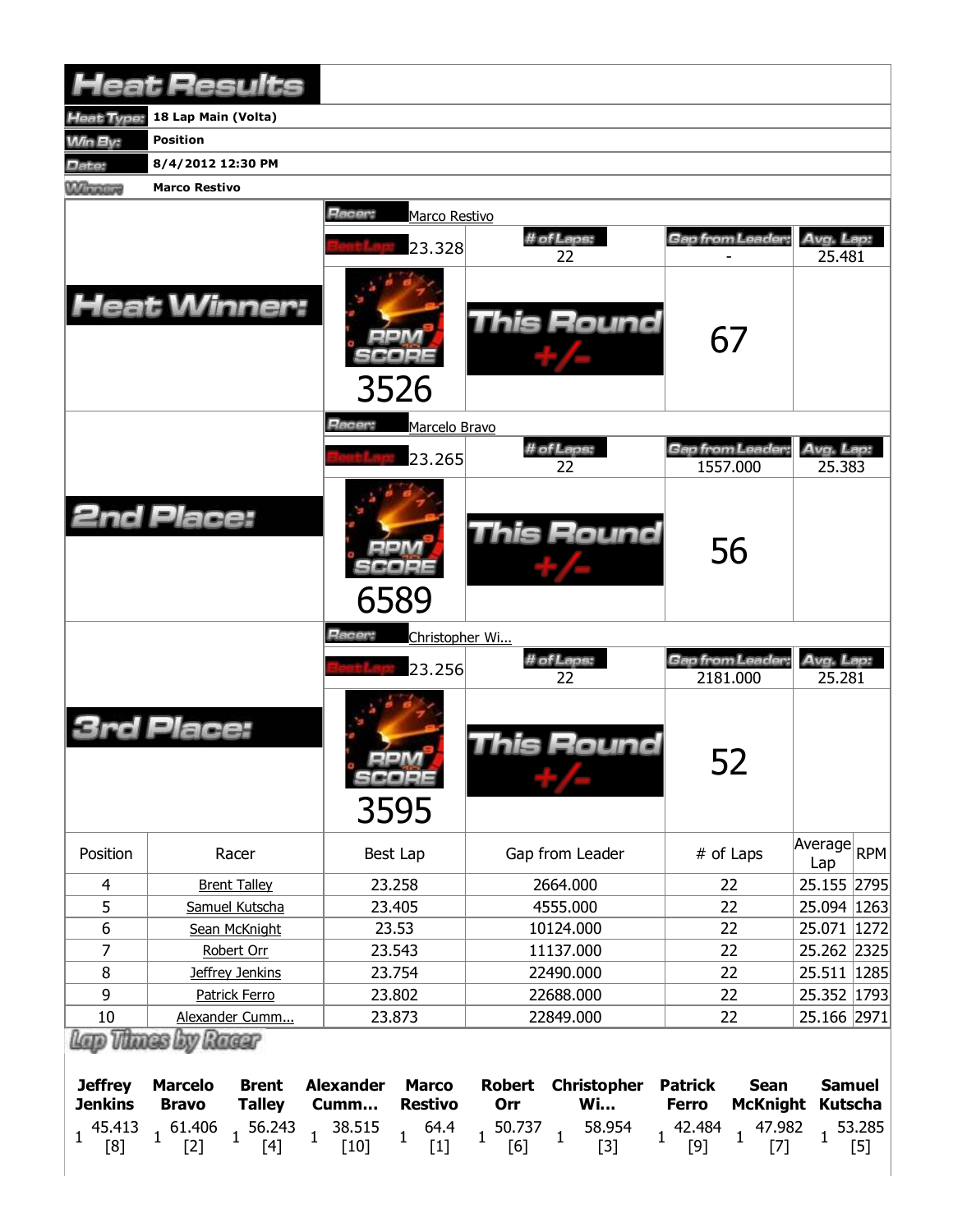|                                  | <b>Heat Results</b>                                                                    |                                                            |                                                  |                                                                                  |                                                                        |
|----------------------------------|----------------------------------------------------------------------------------------|------------------------------------------------------------|--------------------------------------------------|----------------------------------------------------------------------------------|------------------------------------------------------------------------|
| Heat Type:                       | 18 Lap Main (Volta)                                                                    |                                                            |                                                  |                                                                                  |                                                                        |
| Win By:                          | <b>Position</b>                                                                        |                                                            |                                                  |                                                                                  |                                                                        |
| Date:                            | 8/4/2012 12:30 PM                                                                      |                                                            |                                                  |                                                                                  |                                                                        |
| Winners                          | <b>Marco Restivo</b>                                                                   |                                                            |                                                  |                                                                                  |                                                                        |
|                                  |                                                                                        | Racer:<br>Marco Restivo                                    |                                                  |                                                                                  |                                                                        |
|                                  |                                                                                        |                                                            | # of Laps:                                       | Gap from Leader:                                                                 | Avg. Lap:                                                              |
|                                  |                                                                                        | 23.328                                                     | 22                                               |                                                                                  | 25.481                                                                 |
|                                  | <b>Heat Winner:</b>                                                                    | 3526                                                       | This Round                                       | 67                                                                               |                                                                        |
|                                  |                                                                                        | Racer:<br>Marcelo Bravo                                    |                                                  |                                                                                  |                                                                        |
|                                  |                                                                                        | 23.265                                                     | # of Laps:                                       | Gap from Leader:                                                                 | Avg. Lap:                                                              |
|                                  |                                                                                        |                                                            | 22                                               | 1557.000                                                                         | 25.383                                                                 |
|                                  | <b>2nd Place:</b>                                                                      | 6589                                                       | <b>This Round</b>                                | 56                                                                               |                                                                        |
|                                  |                                                                                        | Racer:<br>Christopher Wi                                   |                                                  |                                                                                  |                                                                        |
|                                  |                                                                                        |                                                            |                                                  |                                                                                  |                                                                        |
|                                  |                                                                                        | 23.256                                                     | # of Laps:<br>22                                 | Gan from Leader:<br>2181.000                                                     | Avg. Lap:                                                              |
|                                  | Place:                                                                                 | se a se<br>3595                                            | <b>This Round</b>                                | 52                                                                               | 25.281                                                                 |
| Position                         | Racer                                                                                  | Best Lap                                                   | Gap from Leader                                  | # of Laps                                                                        | Lap                                                                    |
| 4                                | <b>Brent Talley</b>                                                                    | 23.258                                                     | 2664.000                                         | 22                                                                               | 25.155 2795                                                            |
| 5                                | Samuel Kutscha                                                                         | 23.405                                                     | 4555.000                                         | 22                                                                               |                                                                        |
| $\overline{6}$                   | Sean McKnight                                                                          | 23.53                                                      | 10124.000                                        | 22                                                                               | 25.071 1272                                                            |
| 7                                | Robert Orr                                                                             | 23.543                                                     | 11137.000                                        | 22                                                                               |                                                                        |
| $\, 8$                           | Jeffrey Jenkins                                                                        | 23.754                                                     | 22490.000                                        | 22                                                                               | 25.511 1285                                                            |
| 9                                | Patrick Ferro                                                                          | 23.802                                                     | 22688.000                                        | 22                                                                               | $ A$ verage $ R$ PM $ $<br>25.094   1263<br>25.262 2325<br>25.352 1793 |
| $10\,$                           | Alexander Cumm<br>Lap Thass by Racer                                                   | 23.873                                                     | 22849.000                                        | 22                                                                               | 25.166 2971                                                            |
| <b>Jeffrey</b><br><b>Jenkins</b> | <b>Marcelo</b><br><b>Brent</b><br><b>Talley</b><br><b>Bravo</b><br>$1\frac{61.406}{1}$ | <b>Alexander</b><br><b>Marco</b><br><b>Restivo</b><br>Cumm | <b>Christopher</b><br><b>Robert</b><br>Wi<br>Orr | <b>Patrick</b><br><b>Sean</b><br><b>Ferro</b><br><b>McKnight</b><br>$1^{42.484}$ | <b>Samuel</b><br><b>Kutscha</b>                                        |